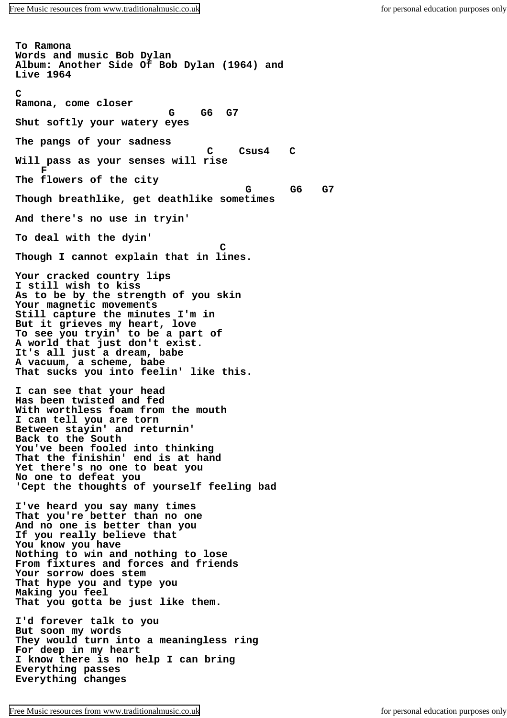**To Ramona Words and music Bob Dylan Album: Another Side Of Bob Dylan (1964) and Live 1964**  $\mathbf{C}$ **Ramona, come closer G G6 G7 Shut softly your watery eyes The pangs of your sadness C Csus4 C Will pass as your senses will rise F The flowers of the city G G6 G7 Though breathlike, get deathlike sometimes And there's no use in tryin' To deal with the dyin' C Though I cannot explain that in lines. Your cracked country lips I still wish to kiss As to be by the strength of you skin Your magnetic movements Still capture the minutes I'm in But it grieves my heart, love To see you tryin' to be a part of A world that just don't exist. It's all just a dream, babe A vacuum, a scheme, babe That sucks you into feelin' like this. I can see that your head Has been twisted and fed With worthless foam from the mouth I can tell you are torn Between stayin' and returnin' Back to the South You've been fooled into thinking That the finishin' end is at hand Yet there's no one to beat you No one to defeat you 'Cept the thoughts of yourself feeling bad I've heard you say many times That you're better than no one And no one is better than you If you really believe that You know you have Nothing to win and nothing to lose From fixtures and forces and friends Your sorrow does stem That hype you and type you Making you feel That you gotta be just like them. I'd forever talk to you But soon my words They would turn into a meaningless ring For deep in my heart I know there is no help I can bring Everything passes Everything changes**